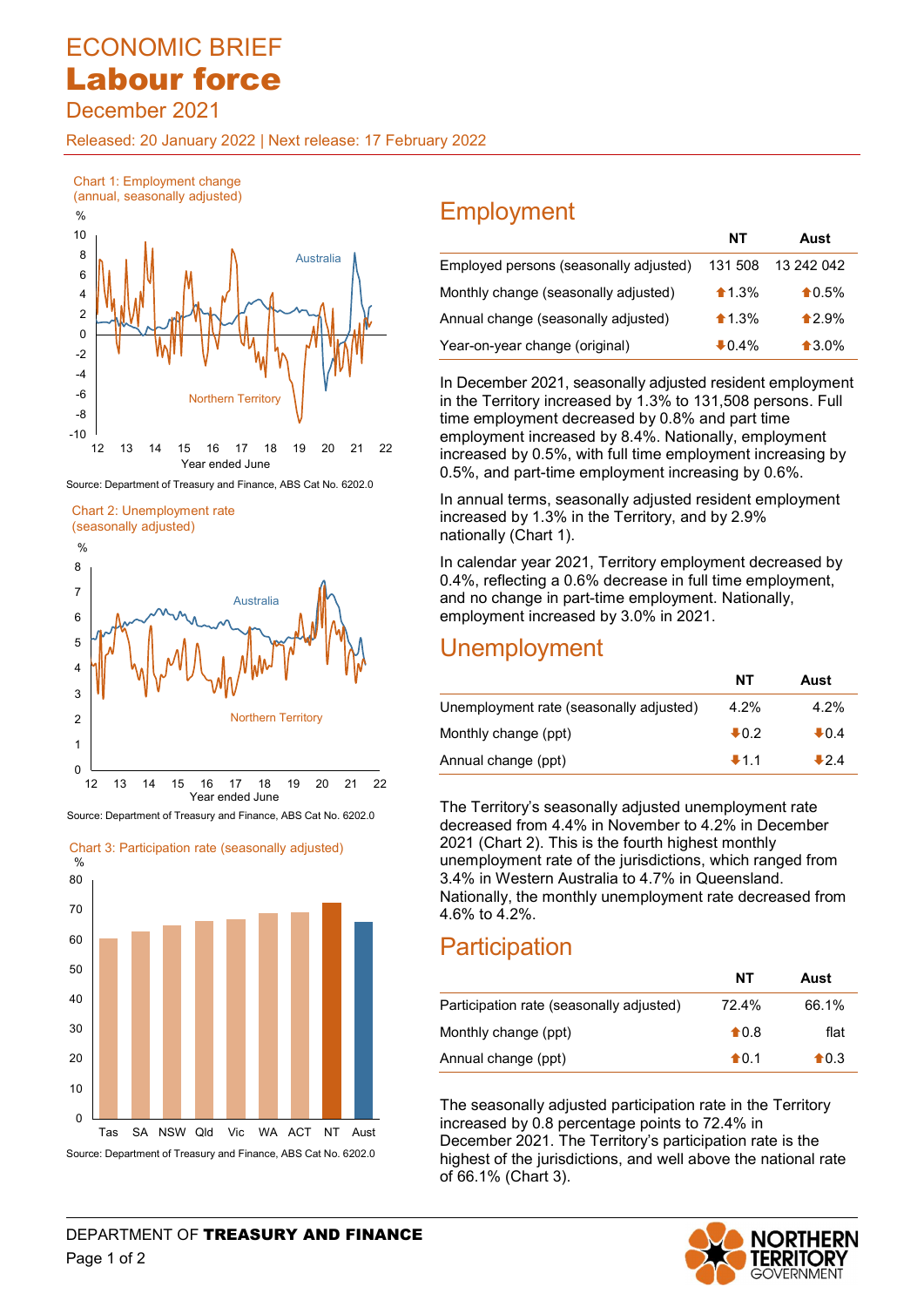# ECONOMIC BRIEF Labour force

December 2021

Released: 20 January 2022 | Next release: 17 February 2022



Source: Department of Treasury and Finance, ABS Cat No. 6202.0

Chart 2: Unemployment rate



Source: Department of Treasury and Finance, ABS Cat No. 6202.0



| ΙUΙ    |           |                                        |                  | Aust              |
|--------|-----------|----------------------------------------|------------------|-------------------|
| 8<br>6 | Australia | Employed persons (seasonally adjusted) | 131 508          | 13 242 042        |
|        |           | Monthly change (seasonally adjusted)   | $\textbf{1.3\%}$ | $\bigstar 0.5\%$  |
| C      |           | Annual change (seasonally adjusted)    | $\triangle$ 1.3% | $\triangle 2.9\%$ |
| 0      |           | Year-on-year change (original)         | $\bullet$ 0.4%   | $\bullet$ 3.0%    |

 In December 2021, seasonally adjusted resident employment in the Territory increased by 1.3% to 131,508 persons. Full time employment decreased by 0.8% and part time employment increased by 8.4%. Nationally, employment increased by 0.5%, with full time employment increasing by 0.5%, and part-time employment increasing by 0.6%.

 In annual terms, seasonally adjusted resident employment increased by 1.3% in the Territory, and by 2.9% nationally (Chart 1).

 In calendar year 2021, Territory employment decreased by 0.4%, reflecting a 0.6% decrease in full time employment, and no change in part-time employment. Nationally, employment increased by 3.0% in 2021.

### Unemployment

|                                         | NΤ     | Aust    |
|-----------------------------------------|--------|---------|
| Unemployment rate (seasonally adjusted) | 4.2%   | $4.2\%$ |
| Monthly change (ppt)                    | $+0.2$ | $+0.4$  |
| Annual change (ppt)                     | $+1.1$ | ♣24     |

 The Territory's seasonally adjusted unemployment rate decreased from 4.4% in November to 4.2% in December 2021 (Chart 2). This is the fourth highest monthly unemployment rate of the jurisdictions, which ranged from 3.4% in Western Australia to 4.7% in Queensland. Nationally, the monthly unemployment rate decreased from 4.6% to 4.2%.

## **Participation**

| ວບ |  |  |                                          | ΝT             | Aust             |
|----|--|--|------------------------------------------|----------------|------------------|
| 40 |  |  | Participation rate (seasonally adjusted) | 72.4%          | 66.1%            |
| 30 |  |  | Monthly change (ppt)                     | $\bigstar$ 0.8 | flat             |
| 20 |  |  | Annual change (ppt)                      | $\diamond$ 0.1 | $\spadesuit$ 0.3 |

 $\begin{array}{|c|c|c|c|}\hline & & & & & \\\hline \end{array}$  The seasonally adjusted participation rate in the Territory<br>Decay of the MACT NT April 1990 increased by 0.8 percentage points to 72.4% in increased by 0.8 percentage points to 72.4% in December 2021. The Territory's participation rate is the Source: Department of Treasury and Finance, ABS Cat No. 6202.0 highest of the jurisdictions, and well above the national rate of 66.1% (Chart 3).